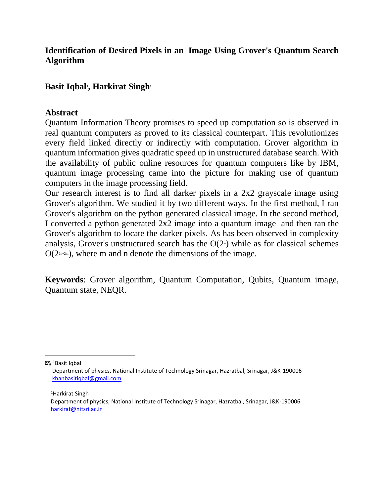### **Identification of Desired Pixels in an Image Using Grover's Quantum Search Algorithm**

### **Basit Iqbal<sup>1</sup> , Harkirat Singh<sup>1</sup>**

#### **Abstract**

Quantum Information Theory promises to speed up computation so is observed in real quantum computers as proved to its classical counterpart. This revolutionizes every field linked directly or indirectly with computation. Grover algorithm in quantum information gives quadratic speed up in unstructured database search. With the availability of public online resources for quantum computers like by IBM, quantum image processing came into the picture for making use of quantum computers in the image processing field.

Our research interest is to find all darker pixels in a 2x2 grayscale image using Grover's algorithm. We studied it by two different ways. In the first method, I ran Grover's algorithm on the python generated classical image. In the second method, I converted a python generated 2x2 image into a quantum image and then ran the Grover's algorithm to locate the darker pixels. As has been observed in complexity analysis, Grover's unstructured search has the  $O(2<sup>n</sup>)$  while as for classical schemes  $O(2<sub>2n+2m</sub>)$ , where m and n denote the dimensions of the image.

**Keywords**: Grover algorithm, Quantum Computation, Qubits, Quantum image, Quantum state, NEQR.

 $\mathbb{Z}_{\omega}$ <sup>1</sup>Basit Iqbal

<sup>1</sup>Harkirat Singh

Department of physics, National Institute of Technology Srinagar, Hazratbal, Srinagar, J&K-190006 [khanbasitiqbal@gmail.com](mailto:khanbasitiqbal@gmail.com)

Department of physics, National Institute of Technology Srinagar, Hazratbal, Srinagar, J&K-190006 [harkirat@nitsri.ac.in](mailto:harkirat@nitsri.ac.in)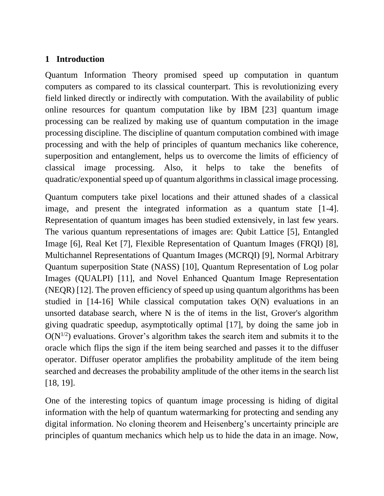#### **1 Introduction**

Quantum Information Theory promised speed up computation in quantum computers as compared to its classical counterpart. This is revolutionizing every field linked directly or indirectly with computation. With the availability of public online resources for quantum computation like by IBM [23] quantum image processing can be realized by making use of quantum computation in the image processing discipline. The discipline of quantum computation combined with image processing and with the help of principles of quantum mechanics like coherence, superposition and entanglement, helps us to overcome the limits of efficiency of classical image processing. Also, it helps to take the benefits of quadratic/exponential speed up of quantum algorithms in classical image processing.

Quantum computers take pixel locations and their attuned shades of a classical image, and present the integrated information as a quantum state [1-4]. Representation of quantum images has been studied extensively, in last few years. The various quantum representations of images are: Qubit Lattice [5], Entangled Image [6], Real Ket [7], Flexible Representation of Quantum Images (FRQI) [8], Multichannel Representations of Quantum Images (MCRQI) [9], Normal Arbitrary Quantum superposition State (NASS) [10], Quantum Representation of Log polar Images (QUALPI) [11], and Novel Enhanced Quantum Image Representation (NEQR) [12]. The proven efficiency of speed up using quantum algorithms has been studied in [14-16] While classical computation takes O(N) evaluations in an unsorted database search, where N is the of items in the list, Grover's algorithm giving quadratic speedup, asymptotically optimal [17], by doing the same job in  $O(N^{1/2})$  evaluations. Grover's algorithm takes the search item and submits it to the oracle which flips the sign if the item being searched and passes it to the diffuser operator. Diffuser operator amplifies the probability amplitude of the item being searched and decreases the probability amplitude of the other items in the search list [18, 19].

One of the interesting topics of quantum image processing is hiding of digital information with the help of quantum watermarking for protecting and sending any digital information. No cloning theorem and Heisenberg's uncertainty principle are principles of quantum mechanics which help us to hide the data in an image. Now,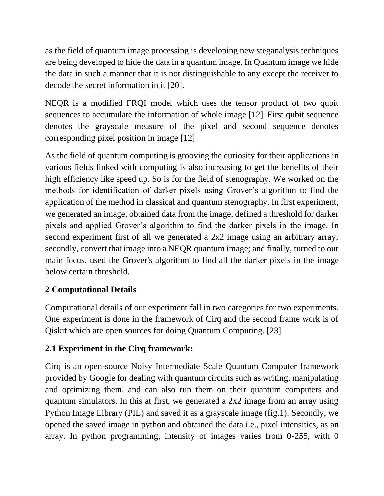as the field of quantum image processing is developing new steganalysis techniques are being developed to hide the data in a quantum image. In Quantum image we hide the data in such a manner that it is not distinguishable to any except the receiver to decode the secret information in it [20].

NEQR is a modified FRQI model which uses the tensor product of two qubit sequences to accumulate the information of whole image [12]. First qubit sequence denotes the grayscale measure of the pixel and second sequence denotes corresponding pixel position in image [12]

As the field of quantum computing is grooving the curiosity for their applications in various fields linked with computing is also increasing to get the benefits of their high efficiency like speed up. So is for the field of stenography. We worked on the methods for identification of darker pixels using Grover's algorithm to find the application of the method in classical and quantum stenography. In first experiment, we generated an image, obtained data from the image, defined a threshold for darker pixels and applied Grover's algorithm to find the darker pixels in the image. In second experiment first of all we generated a 2x2 image using an arbitrary array; secondly, convert that image into a NEQR quantum image; and finally, turned to our main focus, used the Grover's algorithm to find all the darker pixels in the image below certain threshold.

# **2 Computational Details**

Computational details of our experiment fall in two categories for two experiments. One experiment is done in the framework of Cirq and the second frame work is of Qiskit which are open sources for doing Quantum Computing. [23]

# **2.1 Experiment in the Cirq framework:**

Cirq is an open-source Noisy Intermediate Scale Quantum Computer framework provided by Google for dealing with quantum circuits such as writing, manipulating and optimizing them, and can also run them on their quantum computers and quantum simulators. In this at first, we generated a 2x2 image from an array using Python Image Library (PIL) and saved it as a grayscale image (fig.1). Secondly, we opened the saved image in python and obtained the data i.e., pixel intensities, as an array. In python programming, intensity of images varies from 0-255, with 0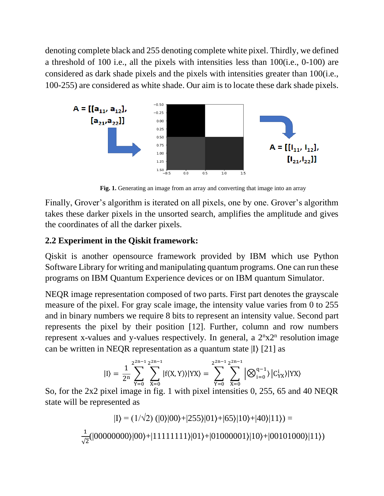denoting complete black and 255 denoting complete white pixel. Thirdly, we defined a threshold of 100 i.e., all the pixels with intensities less than 100(i.e., 0-100) are considered as dark shade pixels and the pixels with intensities greater than 100(i.e., 100-255) are considered as white shade. Our aim is to locate these dark shade pixels.



Fig. 1. Generating an image from an array and converting that image into an array

Finally, Grover's algorithm is iterated on all pixels, one by one. Grover's algorithm takes these darker pixels in the unsorted search, amplifies the amplitude and gives the coordinates of all the darker pixels.

# **2.2 Experiment in the Qiskit framework:**

Qiskit is another opensource framework provided by IBM which use Python Software Library for writing and manipulating quantum programs. One can run these programs on IBM Quantum Experience devices or on IBM quantum Simulator.

NEQR image representation composed of two parts. First part denotes the grayscale measure of the pixel. For gray scale image, the intensity value varies from 0 to 255 and in binary numbers we require 8 bits to represent an intensity value. Second part represents the pixel by their position [12]. Further, column and row numbers represent x-values and y-values respectively. In general, a  $2<sup>n</sup>x2<sup>n</sup>$  resolution image can be written in NEQR representation as a quantum state |I⟩ [21] as

$$
|I\rangle = \frac{1}{2^n} \sum_{Y=0}^{2^{2n-1}} \sum_{X=0}^{2^{2n-1}} |f(X,Y)\rangle |YX\rangle = \sum_{Y=0}^{2^{2n-1}} \sum_{X=0}^{2^{2n-1}} \left| \bigotimes_{i=0}^{q-1} \big| C_{YX}^i \big| YX\rangle \right|
$$

So, for the 2x2 pixel image in fig. 1 with pixel intensities 0, 255, 65 and 40 NEQR state will be represented as

$$
|I\rangle = (1/\sqrt{2}) (|0\rangle|00\rangle + |255\rangle|01\rangle + |65\rangle|10\rangle + |40\rangle|11\rangle) =
$$
  

$$
\frac{1}{\sqrt{2}} (|0000000\rangle|00\rangle + |1111111\rangle|01\rangle + |01000001\rangle|10\rangle + |00101000\rangle|11\rangle)
$$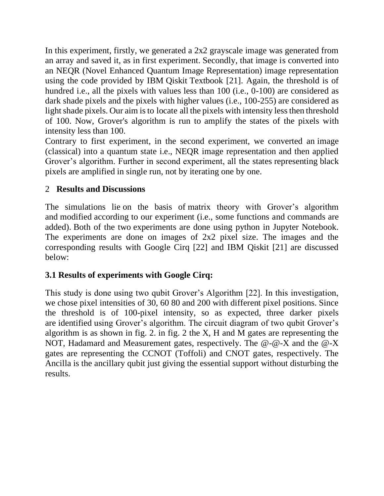In this experiment, firstly, we generated a 2x2 grayscale image was generated from an array and saved it, as in first experiment. Secondly, that image is converted into an NEQR (Novel Enhanced Quantum Image Representation) image representation using the code provided by IBM Qiskit Textbook [21]. Again, the threshold is of hundred i.e., all the pixels with values less than 100 (i.e., 0-100) are considered as dark shade pixels and the pixels with higher values (i.e., 100-255) are considered as light shade pixels. Our aim is to locate all the pixels with intensity less then threshold of 100. Now, Grover's algorithm is run to amplify the states of the pixels with intensity less than 100.

Contrary to first experiment, in the second experiment, we converted an image (classical) into a quantum state i.e., NEQR image representation and then applied Grover's algorithm. Further in second experiment, all the states representing black pixels are amplified in single run, not by iterating one by one.

## 2 **Results and Discussions**

The simulations lie on the basis of matrix theory with Grover's algorithm and modified according to our experiment (i.e., some functions and commands are added). Both of the two experiments are done using python in Jupyter Notebook. The experiments are done on images of 2x2 pixel size. The images and the corresponding results with Google Cirq [22] and IBM Qiskit [21] are discussed below:

# **3.1 Results of experiments with Google Cirq:**

This study is done using two qubit Grover's Algorithm [22]. In this investigation, we chose pixel intensities of 30, 60 80 and 200 with different pixel positions. Since the threshold is of 100-pixel intensity, so as expected, three darker pixels are identified using Grover's algorithm. The circuit diagram of two qubit Grover's algorithm is as shown in fig. 2. in fig. 2 the X, H and M gates are representing the NOT, Hadamard and Measurement gates, respectively. The @-@-X and the @-X gates are representing the CCNOT (Toffoli) and CNOT gates, respectively. The Ancilla is the ancillary qubit just giving the essential support without disturbing the results.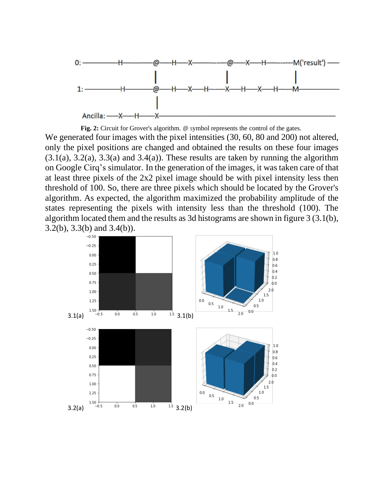

**Fig. 2:** Circuit for Grover's algorithm.  $\omega$  symbol represents the control of the gates.

We generated four images with the pixel intensities (30, 60, 80 and 200) not altered, only the pixel positions are changed and obtained the results on these four images  $(3.1(a), 3.2(a), 3.3(a)$  and  $3.4(a)$ ). These results are taken by running the algorithm on Google Cirq's simulator. In the generation of the images, it was taken care of that at least three pixels of the 2x2 pixel image should be with pixel intensity less then threshold of 100. So, there are three pixels which should be located by the Grover's algorithm. As expected, the algorithm maximized the probability amplitude of the states representing the pixels with intensity less than the threshold (100). The algorithm located them and the results as 3d histograms are shown in figure 3 (3.1(b), 3.2(b), 3.3(b) and 3.4(b)).

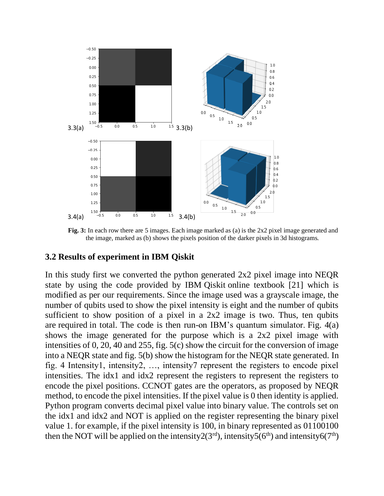

**Fig. 3:** In each row there are 5 images. Each image marked as (a) is the 2x2 pixel image generated and the image, marked as (b) shows the pixels position of the darker pixels in 3d histograms.

#### **3.2 Results of experiment in IBM Qiskit**

In this study first we converted the python generated 2x2 pixel image into NEQR state by using the code provided by IBM Qiskit online textbook [21] which is modified as per our requirements. Since the image used was a grayscale image, the number of qubits used to show the pixel intensity is eight and the number of qubits sufficient to show position of a pixel in a 2x2 image is two. Thus, ten qubits are required in total. The code is then run-on IBM's quantum simulator. Fig. 4(a) shows the image generated for the purpose which is a 2x2 pixel image with intensities of 0, 20, 40 and 255, fig. 5(c) show the circuit for the conversion of image into a NEQR state and fig. 5(b) show the histogram for the NEQR state generated. In fig. 4 Intensity1, intensity2, …, intensity7 represent the registers to encode pixel intensities. The idx1 and idx2 represent the registers to represent the registers to encode the pixel positions. CCNOT gates are the operators, as proposed by NEQR method, to encode the pixel intensities. If the pixel value is 0 then identity is applied. Python program converts decimal pixel value into binary value. The controls set on the idx1 and idx2 and NOT is applied on the register representing the binary pixel value 1. for example, if the pixel intensity is 100, in binary represented as 01100100 then the NOT will be applied on the intensity  $2(3<sup>rd</sup>)$ , intensity  $5(6<sup>th</sup>)$  and intensity  $6(7<sup>th</sup>)$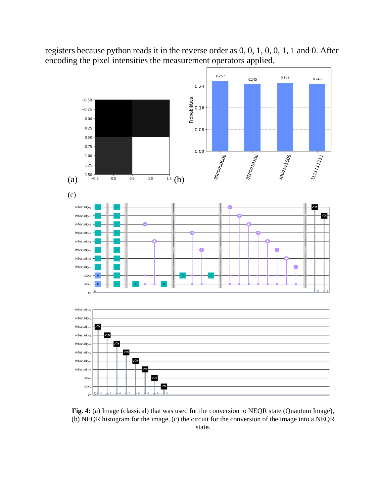registers because python reads it in the reverse order as 0, 0, 1, 0, 0, 1, 1 and 0. After encoding the pixel intensities the measurement operators applied.



**Fig. 4:** (a) Image (classical) that was used for the conversion to NEQR state (Quantum Image), (b) NEQR histogram for the image, (c) the circuit for the conversion of the image into a NEQR state.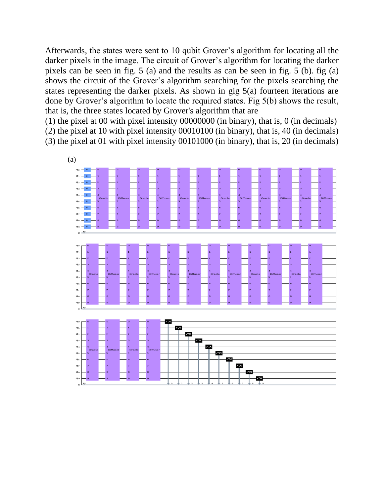Afterwards, the states were sent to 10 qubit Grover's algorithm for locating all the darker pixels in the image. The circuit of Grover's algorithm for locating the darker pixels can be seen in fig. 5 (a) and the results as can be seen in fig. 5 (b). fig (a) shows the circuit of the Grover's algorithm searching for the pixels searching the states representing the darker pixels. As shown in gig 5(a) fourteen iterations are done by Grover's algorithm to locate the required states. Fig 5(b) shows the result, that is, the three states located by Grover's algorithm that are

(1) the pixel at 00 with pixel intensity 00000000 (in binary), that is, 0 (in decimals) (2) the pixel at 10 with pixel intensity 00010100 (in binary), that is, 40 (in decimals) (3) the pixel at 01 with pixel intensity 00101000 (in binary), that is, 20 (in decimals)

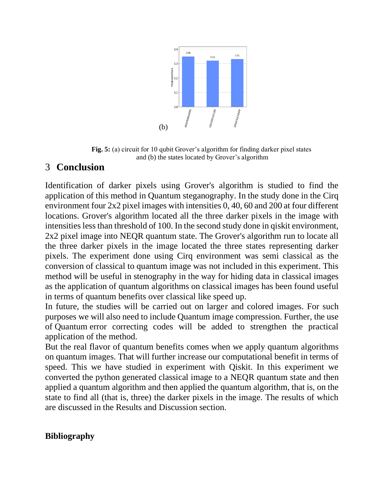

**Fig. 5:** (a) circuit for 10 qubit Grover's algorithm for finding darker pixel states and (b) the states located by Grover's algorithm

# 3 **Conclusion**

Identification of darker pixels using Grover's algorithm is studied to find the application of this method in Quantum steganography. In the study done in the Cirq environment four 2x2 pixel images with intensities 0, 40, 60 and 200 at four different locations. Grover's algorithm located all the three darker pixels in the image with intensities less than threshold of 100. In the second study done in qiskit environment, 2x2 pixel image into NEQR quantum state. The Grover's algorithm run to locate all the three darker pixels in the image located the three states representing darker pixels. The experiment done using Cirq environment was semi classical as the conversion of classical to quantum image was not included in this experiment. This method will be useful in stenography in the way for hiding data in classical images as the application of quantum algorithms on classical images has been found useful in terms of quantum benefits over classical like speed up.

In future, the studies will be carried out on larger and colored images. For such purposes we will also need to include Quantum image compression. Further, the use of Quantum error correcting codes will be added to strengthen the practical application of the method.

But the real flavor of quantum benefits comes when we apply quantum algorithms on quantum images. That will further increase our computational benefit in terms of speed. This we have studied in experiment with Qiskit. In this experiment we converted the python generated classical image to a NEQR quantum state and then applied a quantum algorithm and then applied the quantum algorithm, that is, on the state to find all (that is, three) the darker pixels in the image. The results of which are discussed in the Results and Discussion section.

#### **Bibliography**